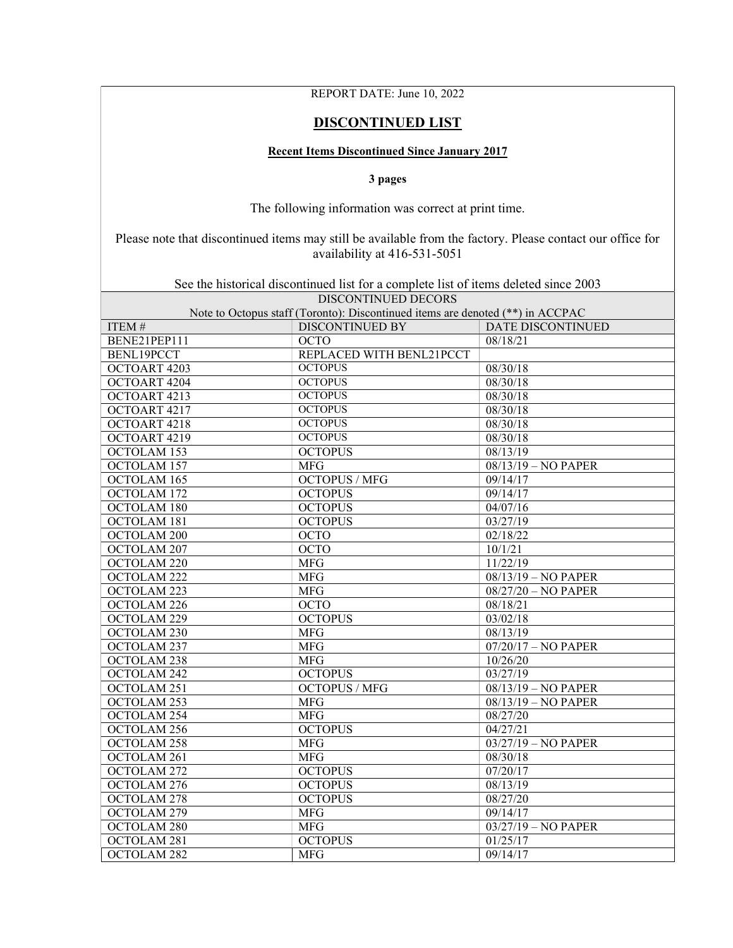## REPORT DATE: June 10, 2022

## DISCONTINUED LIST

## Recent Items Discontinued Since January 2017

3 pages

The following information was correct at print time.

Please note that discontinued items may still be available from the factory. Please contact our office for availability at 416-531-5051

See the historical discontinued list for a complete list of items deleted since 2003

| DISCONTINUED DECORS<br>Note to Octopus staff (Toronto): Discontinued items are denoted (**) in ACCPAC |                          |                          |  |  |
|-------------------------------------------------------------------------------------------------------|--------------------------|--------------------------|--|--|
| ITEM#                                                                                                 | <b>DISCONTINUED BY</b>   | <b>DATE DISCONTINUED</b> |  |  |
| BENE21PEP111                                                                                          | <b>OCTO</b>              | 08/18/21                 |  |  |
| BENL19PCCT                                                                                            | REPLACED WITH BENL21PCCT |                          |  |  |
| OCTOART 4203                                                                                          | <b>OCTOPUS</b>           | 08/30/18                 |  |  |
| OCTOART 4204                                                                                          | <b>OCTOPUS</b>           | 08/30/18                 |  |  |
| OCTOART 4213                                                                                          | <b>OCTOPUS</b>           | 08/30/18                 |  |  |
|                                                                                                       | <b>OCTOPUS</b>           | 08/30/18                 |  |  |
| OCTOART 4217                                                                                          | <b>OCTOPUS</b>           |                          |  |  |
| OCTOART 4218                                                                                          | <b>OCTOPUS</b>           | 08/30/18                 |  |  |
| OCTOART 4219                                                                                          |                          | 08/30/18                 |  |  |
| OCTOLAM 153                                                                                           | <b>OCTOPUS</b>           | 08/13/19                 |  |  |
| OCTOLAM 157                                                                                           | <b>MFG</b>               | 08/13/19 - NO PAPER      |  |  |
| OCTOLAM 165                                                                                           | <b>OCTOPUS / MFG</b>     | 09/14/17                 |  |  |
| OCTOLAM 172                                                                                           | <b>OCTOPUS</b>           | 09/14/17                 |  |  |
| OCTOLAM 180                                                                                           | <b>OCTOPUS</b>           | 04/07/16                 |  |  |
| OCTOLAM 181                                                                                           | <b>OCTOPUS</b>           | 03/27/19                 |  |  |
| OCTOLAM 200                                                                                           | <b>OCTO</b>              | 02/18/22                 |  |  |
| OCTOLAM 207                                                                                           | <b>OCTO</b>              | 10/1/21                  |  |  |
| OCTOLAM 220                                                                                           | <b>MFG</b>               | 11/22/19                 |  |  |
| OCTOLAM <sub>222</sub>                                                                                | <b>MFG</b>               | 08/13/19 - NO PAPER      |  |  |
| OCTOLAM 223                                                                                           | <b>MFG</b>               | 08/27/20 - NO PAPER      |  |  |
| OCTOLAM 226                                                                                           | <b>OCTO</b>              | 08/18/21                 |  |  |
| OCTOLAM 229                                                                                           | <b>OCTOPUS</b>           | 03/02/18                 |  |  |
| OCTOLAM 230                                                                                           | <b>MFG</b>               | 08/13/19                 |  |  |
| OCTOLAM 237                                                                                           | <b>MFG</b>               | $07/20/17 - NO$ PAPER    |  |  |
| OCTOLAM <sub>238</sub>                                                                                | <b>MFG</b>               | 10/26/20                 |  |  |
| OCTOLAM 242                                                                                           | <b>OCTOPUS</b>           | 03/27/19                 |  |  |
| OCTOLAM 251                                                                                           | <b>OCTOPUS / MFG</b>     | 08/13/19 - NO PAPER      |  |  |
| OCTOLAM 253                                                                                           | <b>MFG</b>               | 08/13/19 - NO PAPER      |  |  |
| OCTOLAM 254                                                                                           | <b>MFG</b>               | 08/27/20                 |  |  |
| OCTOLAM 256                                                                                           | <b>OCTOPUS</b>           | 04/27/21                 |  |  |
| OCTOLAM 258                                                                                           | <b>MFG</b>               | 03/27/19 - NO PAPER      |  |  |
| OCTOLAM 261                                                                                           | <b>MFG</b>               | 08/30/18                 |  |  |
| OCTOLAM 272                                                                                           | <b>OCTOPUS</b>           | 07/20/17                 |  |  |
| OCTOLAM 276                                                                                           | <b>OCTOPUS</b>           | 08/13/19                 |  |  |
| OCTOLAM 278                                                                                           | <b>OCTOPUS</b>           | 08/27/20                 |  |  |
| OCTOLAM 279                                                                                           | <b>MFG</b>               | 09/14/17                 |  |  |
| OCTOLAM 280                                                                                           | <b>MFG</b>               | $03/27/19 - NO PAPER$    |  |  |
| OCTOLAM 281                                                                                           | <b>OCTOPUS</b>           | 01/25/17                 |  |  |
| OCTOLAM 282                                                                                           | <b>MFG</b>               | 09/14/17                 |  |  |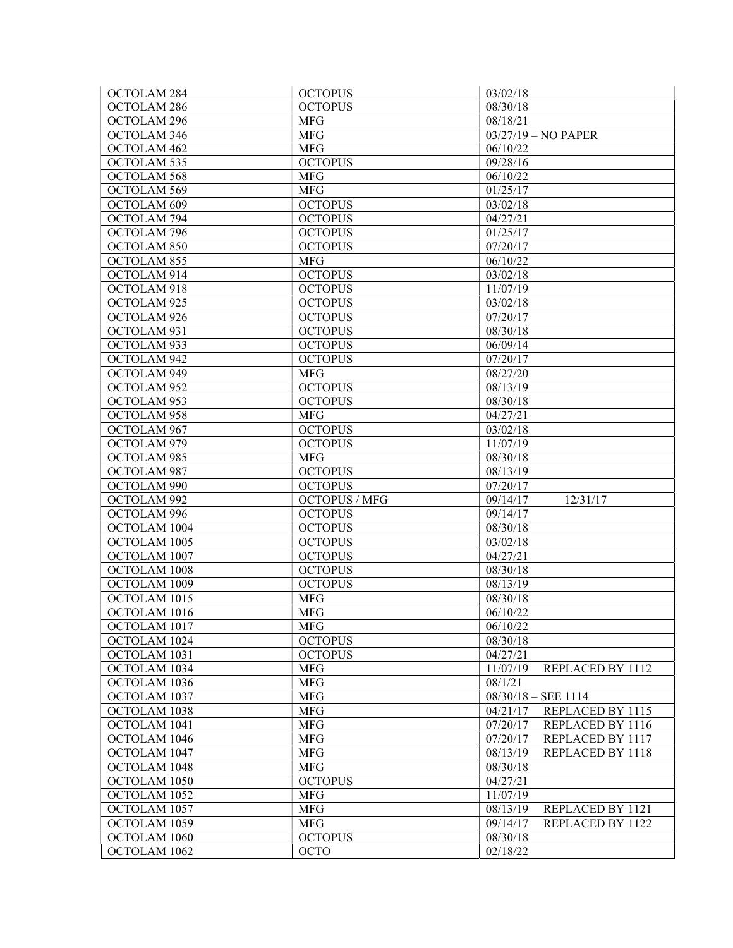| OCTOLAM <sub>284</sub> | <b>OCTOPUS</b>       | 03/02/18                                         |
|------------------------|----------------------|--------------------------------------------------|
| OCTOLAM <sub>286</sub> | <b>OCTOPUS</b>       | 08/30/18                                         |
| OCTOLAM 296            | <b>MFG</b>           | 08/18/21                                         |
| OCTOLAM 346            | <b>MFG</b>           | 03/27/19 - NO PAPER                              |
| OCTOLAM 462            | <b>MFG</b>           | 06/10/22                                         |
| OCTOLAM 535            | <b>OCTOPUS</b>       | 09/28/16                                         |
| OCTOLAM 568            | <b>MFG</b>           | 06/10/22                                         |
| OCTOLAM 569            | <b>MFG</b>           | 01/25/17                                         |
| OCTOLAM <sub>609</sub> | <b>OCTOPUS</b>       | 03/02/18                                         |
| OCTOLAM 794            | <b>OCTOPUS</b>       | 04/27/21                                         |
| OCTOLAM 796            | <b>OCTOPUS</b>       | 01/25/17                                         |
| OCTOLAM 850            | <b>OCTOPUS</b>       | 07/20/17                                         |
| OCTOLAM 855            | <b>MFG</b>           | 06/10/22                                         |
| OCTOLAM 914            | <b>OCTOPUS</b>       | 03/02/18                                         |
| OCTOLAM 918            | <b>OCTOPUS</b>       | 11/07/19                                         |
| OCTOLAM 925            | <b>OCTOPUS</b>       | 03/02/18                                         |
| OCTOLAM 926            | <b>OCTOPUS</b>       | 07/20/17                                         |
| OCTOLAM 931            | <b>OCTOPUS</b>       | 08/30/18                                         |
| OCTOLAM 933            | <b>OCTOPUS</b>       | 06/09/14                                         |
| OCTOLAM 942            | <b>OCTOPUS</b>       | 07/20/17                                         |
| OCTOLAM 949            | <b>MFG</b>           | 08/27/20                                         |
| OCTOLAM 952            | <b>OCTOPUS</b>       | 08/13/19                                         |
| OCTOLAM 953            | <b>OCTOPUS</b>       | 08/30/18                                         |
| OCTOLAM 958            | <b>MFG</b>           | 04/27/21                                         |
| OCTOLAM 967            | <b>OCTOPUS</b>       | 03/02/18                                         |
| OCTOLAM 979            | <b>OCTOPUS</b>       | 11/07/19                                         |
| OCTOLAM 985            | <b>MFG</b>           | 08/30/18                                         |
| OCTOLAM 987            | <b>OCTOPUS</b>       | 08/13/19                                         |
| OCTOLAM 990            | <b>OCTOPUS</b>       | 07/20/17                                         |
| OCTOLAM 992            | <b>OCTOPUS / MFG</b> | 12/31/17<br>09/14/17                             |
| OCTOLAM 996            | <b>OCTOPUS</b>       | 09/14/17                                         |
| OCTOLAM 1004           | <b>OCTOPUS</b>       | 08/30/18                                         |
| OCTOLAM 1005           | <b>OCTOPUS</b>       | 03/02/18                                         |
| OCTOLAM 1007           | <b>OCTOPUS</b>       | 04/27/21                                         |
| OCTOLAM 1008           | <b>OCTOPUS</b>       | 08/30/18                                         |
| OCTOLAM 1009           | <b>OCTOPUS</b>       | 08/13/19                                         |
| OCTOLAM 1015           | <b>MFG</b>           | 08/30/18                                         |
| OCTOLAM 1016           | <b>MFG</b>           | 06/10/22                                         |
| OCTOLAM 1017           | <b>MFG</b>           | 06/10/22                                         |
| OCTOLAM 1024           | <b>OCTOPUS</b>       | 08/30/18                                         |
| OCTOLAM 1031           | <b>OCTOPUS</b>       | 04/27/21                                         |
| OCTOLAM 1034           | <b>MFG</b>           | 11/07/19<br>REPLACED BY 1112                     |
| OCTOLAM 1036           | <b>MFG</b>           | 08/1/21                                          |
| OCTOLAM 1037           | <b>MFG</b>           | $08/30/18 - SEE$ 1114                            |
| OCTOLAM 1038           | <b>MFG</b>           | 04/21/17                                         |
| OCTOLAM 1041           | <b>MFG</b>           | REPLACED BY 1115<br>07/20/17<br>REPLACED BY 1116 |
| OCTOLAM 1046           | <b>MFG</b>           | 07/20/17<br>REPLACED BY 1117                     |
|                        |                      | REPLACED BY 1118                                 |
| OCTOLAM 1047           | <b>MFG</b>           | 08/13/19                                         |
| OCTOLAM 1048           | <b>MFG</b>           | 08/30/18                                         |
| OCTOLAM 1050           | <b>OCTOPUS</b>       | 04/27/21                                         |
| OCTOLAM 1052           | <b>MFG</b>           | 11/07/19                                         |
| OCTOLAM 1057           | <b>MFG</b>           | 08/13/19<br>REPLACED BY 1121                     |
| OCTOLAM 1059           | <b>MFG</b>           | 09/14/17<br>REPLACED BY 1122                     |
| OCTOLAM 1060           | <b>OCTOPUS</b>       | 08/30/18                                         |
| OCTOLAM 1062           | <b>OCTO</b>          | 02/18/22                                         |